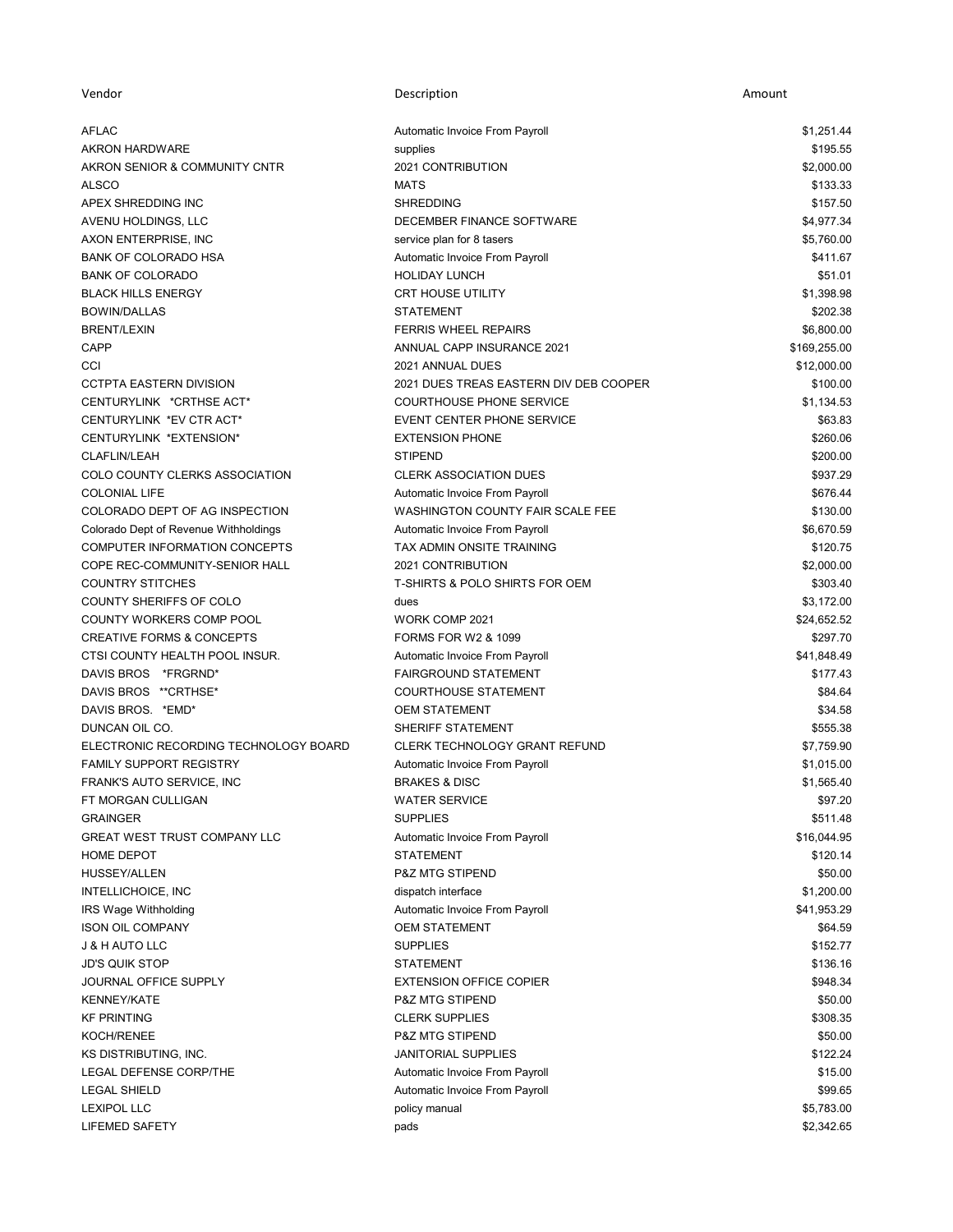| Vendor                                | Description                               | Amount       |
|---------------------------------------|-------------------------------------------|--------------|
| AFLAC                                 | Automatic Invoice From Payroll            | \$1,251.44   |
| <b>AKRON HARDWARE</b>                 | supplies                                  | \$195.55     |
| AKRON SENIOR & COMMUNITY CNTR         | 2021 CONTRIBUTION                         | \$2,000.00   |
| <b>ALSCO</b>                          | <b>MATS</b>                               | \$133.33     |
| APEX SHREDDING INC                    | <b>SHREDDING</b>                          | \$157.50     |
| AVENU HOLDINGS, LLC                   | DECEMBER FINANCE SOFTWARE                 | \$4,977.34   |
| AXON ENTERPRISE, INC                  | service plan for 8 tasers                 | \$5,760.00   |
| <b>BANK OF COLORADO HSA</b>           | Automatic Invoice From Payroll            | \$411.67     |
| <b>BANK OF COLORADO</b>               | <b>HOLIDAY LUNCH</b>                      | \$51.01      |
| <b>BLACK HILLS ENERGY</b>             | <b>CRT HOUSE UTILITY</b>                  | \$1,398.98   |
| <b>BOWIN/DALLAS</b>                   | <b>STATEMENT</b>                          | \$202.38     |
| <b>BRENT/LEXIN</b>                    | <b>FERRIS WHEEL REPAIRS</b>               | \$6,800.00   |
| CAPP                                  | ANNUAL CAPP INSURANCE 2021                | \$169,255.00 |
| CCI                                   | 2021 ANNUAL DUES                          | \$12,000.00  |
| <b>CCTPTA EASTERN DIVISION</b>        | 2021 DUES TREAS EASTERN DIV DEB COOPER    | \$100.00     |
| CENTURYLINK *CRTHSE ACT*              | <b>COURTHOUSE PHONE SERVICE</b>           | \$1,134.53   |
| CENTURYLINK *EV CTR ACT*              | <b>EVENT CENTER PHONE SERVICE</b>         | \$63.83      |
| CENTURYLINK *EXTENSION*               | <b>EXTENSION PHONE</b>                    | \$260.06     |
| <b>CLAFLIN/LEAH</b>                   | <b>STIPEND</b>                            | \$200.00     |
| COLO COUNTY CLERKS ASSOCIATION        | <b>CLERK ASSOCIATION DUES</b>             | \$937.29     |
| <b>COLONIAL LIFE</b>                  | Automatic Invoice From Payroll            | \$676.44     |
| COLORADO DEPT OF AG INSPECTION        | WASHINGTON COUNTY FAIR SCALE FEE          | \$130.00     |
| Colorado Dept of Revenue Withholdings | Automatic Invoice From Payroll            | \$6,670.59   |
| COMPUTER INFORMATION CONCEPTS         | TAX ADMIN ONSITE TRAINING                 | \$120.75     |
| COPE REC-COMMUNITY-SENIOR HALL        | 2021 CONTRIBUTION                         | \$2,000.00   |
| <b>COUNTRY STITCHES</b>               | <b>T-SHIRTS &amp; POLO SHIRTS FOR OEM</b> | \$303.40     |
| COUNTY SHERIFFS OF COLO               | dues                                      | \$3,172.00   |
| COUNTY WORKERS COMP POOL              | WORK COMP 2021                            | \$24,652.52  |
| <b>CREATIVE FORMS &amp; CONCEPTS</b>  | <b>FORMS FOR W2 &amp; 1099</b>            | \$297.70     |
| CTSI COUNTY HEALTH POOL INSUR.        |                                           |              |
|                                       | Automatic Invoice From Payroll            | \$41,848.49  |
| DAVIS BROS *FRGRND*                   | <b>FAIRGROUND STATEMENT</b>               | \$177.43     |
| DAVIS BROS ** CRTHSE*                 | <b>COURTHOUSE STATEMENT</b>               | \$84.64      |
| DAVIS BROS. * EMD*                    | <b>OEM STATEMENT</b>                      | \$34.58      |
| DUNCAN OIL CO.                        | SHERIFF STATEMENT                         | \$555.38     |
| ELECTRONIC RECORDING TECHNOLOGY BOARD | CLERK TECHNOLOGY GRANT REFUND             | \$7,759.90   |
| <b>FAMILY SUPPORT REGISTRY</b>        | Automatic Invoice From Payroll            | \$1,015.00   |
| FRANK'S AUTO SERVICE, INC             | <b>BRAKES &amp; DISC</b>                  | \$1.565.40   |
| FT MORGAN CULLIGAN                    | <b>WATER SERVICE</b>                      | \$97.20      |
| <b>GRAINGER</b>                       | <b>SUPPLIES</b>                           | \$511.48     |
| <b>GREAT WEST TRUST COMPANY LLC</b>   | Automatic Invoice From Payroll            | \$16,044.95  |
| HOME DEPOT                            | <b>STATEMENT</b>                          | \$120.14     |
| <b>HUSSEY/ALLEN</b>                   | <b>P&amp;Z MTG STIPEND</b>                | \$50.00      |
| INTELLICHOICE, INC                    | dispatch interface                        | \$1,200.00   |
| IRS Wage Withholding                  | Automatic Invoice From Payroll            | \$41,953.29  |
| <b>ISON OIL COMPANY</b>               | <b>OEM STATEMENT</b>                      | \$64.59      |
| <b>J &amp; H AUTO LLC</b>             | <b>SUPPLIES</b>                           | \$152.77     |
| <b>JD'S QUIK STOP</b>                 | <b>STATEMENT</b>                          | \$136.16     |
| JOURNAL OFFICE SUPPLY                 | <b>EXTENSION OFFICE COPIER</b>            | \$948.34     |
| <b>KENNEY/KATE</b>                    | <b>P&amp;Z MTG STIPEND</b>                | \$50.00      |
| <b>KF PRINTING</b>                    | <b>CLERK SUPPLIES</b>                     | \$308.35     |
| KOCH/RENEE                            | P&Z MTG STIPEND                           | \$50.00      |
| KS DISTRIBUTING, INC.                 | <b>JANITORIAL SUPPLIES</b>                | \$122.24     |
| LEGAL DEFENSE CORP/THE                | Automatic Invoice From Payroll            | \$15.00      |
| <b>LEGAL SHIELD</b>                   | Automatic Invoice From Payroll            | \$99.65      |
| <b>LEXIPOL LLC</b>                    | policy manual                             | \$5,783.00   |
| <b>LIFEMED SAFETY</b>                 | pads                                      | \$2,342.65   |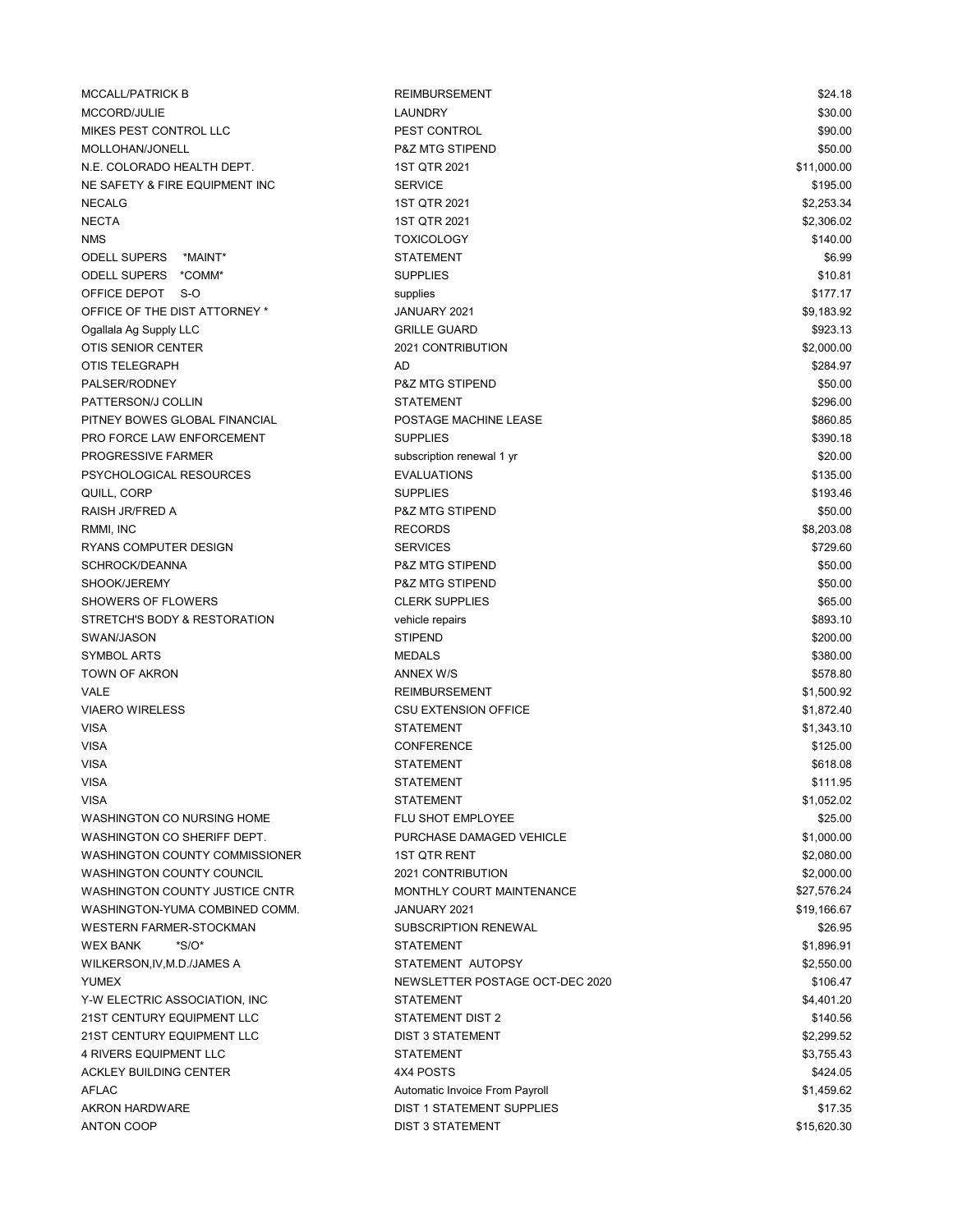| <b>MCCALL/PATRICK B</b>               | <b>REIMBURSEMENT</b>            | \$24.18     |
|---------------------------------------|---------------------------------|-------------|
| MCCORD/JULIE                          | LAUNDRY                         | \$30.00     |
| MIKES PEST CONTROL LLC                | PEST CONTROL                    | \$90.00     |
| MOLLOHAN/JONELL                       | <b>P&amp;Z MTG STIPEND</b>      | \$50.00     |
| N.E. COLORADO HEALTH DEPT.            | 1ST QTR 2021                    | \$11,000.00 |
| NE SAFETY & FIRE EQUIPMENT INC        | <b>SERVICE</b>                  | \$195.00    |
| <b>NECALG</b>                         | 1ST QTR 2021                    | \$2,253.34  |
| <b>NECTA</b>                          | 1ST QTR 2021                    | \$2,306.02  |
| <b>NMS</b>                            | <b>TOXICOLOGY</b>               | \$140.00    |
| ODELL SUPERS *MAINT*                  | <b>STATEMENT</b>                | \$6.99      |
| ODELL SUPERS *COMM*                   | <b>SUPPLIES</b>                 | \$10.81     |
| OFFICE DEPOT S-O                      | supplies                        | \$177.17    |
| OFFICE OF THE DIST ATTORNEY *         | JANUARY 2021                    | \$9,183.92  |
| Ogallala Ag Supply LLC                | <b>GRILLE GUARD</b>             | \$923.13    |
| OTIS SENIOR CENTER                    | 2021 CONTRIBUTION               | \$2,000.00  |
| OTIS TELEGRAPH                        | AD                              | \$284.97    |
| PALSER/RODNEY                         | P&Z MTG STIPEND                 | \$50.00     |
| PATTERSON/J COLLIN                    | <b>STATEMENT</b>                | \$296.00    |
| PITNEY BOWES GLOBAL FINANCIAL         | POSTAGE MACHINE LEASE           | \$860.85    |
| PRO FORCE LAW ENFORCEMENT             | <b>SUPPLIES</b>                 | \$390.18    |
| PROGRESSIVE FARMER                    | subscription renewal 1 yr       | \$20.00     |
| PSYCHOLOGICAL RESOURCES               | <b>EVALUATIONS</b>              | \$135.00    |
|                                       | <b>SUPPLIES</b>                 |             |
| QUILL, CORP                           |                                 | \$193.46    |
| RAISH JR/FRED A                       | P&Z MTG STIPEND                 | \$50.00     |
| RMMI, INC                             | <b>RECORDS</b>                  | \$8,203.08  |
| RYANS COMPUTER DESIGN                 | <b>SERVICES</b>                 | \$729.60    |
| SCHROCK/DEANNA                        | <b>P&amp;Z MTG STIPEND</b>      | \$50.00     |
| SHOOK/JEREMY                          | <b>P&amp;Z MTG STIPEND</b>      | \$50.00     |
| SHOWERS OF FLOWERS                    | <b>CLERK SUPPLIES</b>           | \$65.00     |
| STRETCH'S BODY & RESTORATION          | vehicle repairs                 | \$893.10    |
| SWAN/JASON                            | <b>STIPEND</b>                  | \$200.00    |
| <b>SYMBOL ARTS</b>                    | <b>MEDALS</b>                   | \$380.00    |
| TOWN OF AKRON                         | ANNEX W/S                       | \$578.80    |
| VALE                                  | <b>REIMBURSEMENT</b>            | \$1,500.92  |
| <b>VIAERO WIRELESS</b>                | <b>CSU EXTENSION OFFICE</b>     | \$1,872.40  |
| <b>VISA</b>                           | <b>STATEMENT</b>                | \$1,343.10  |
| <b>VISA</b>                           | <b>CONFERENCE</b>               | \$125.00    |
| <b>VISA</b>                           | <b>STATEMENT</b>                | \$618.08    |
| <b>VISA</b>                           | <b>STATEMENT</b>                | \$111.95    |
| <b>VISA</b>                           | STATEMENT                       | \$1,052.02  |
| WASHINGTON CO NURSING HOME            | FLU SHOT EMPLOYEE               | \$25.00     |
| WASHINGTON CO SHERIFF DEPT.           | PURCHASE DAMAGED VEHICLE        | \$1,000.00  |
| <b>WASHINGTON COUNTY COMMISSIONER</b> | <b>1ST QTR RENT</b>             | \$2,080.00  |
| <b>WASHINGTON COUNTY COUNCIL</b>      | 2021 CONTRIBUTION               | \$2,000.00  |
| WASHINGTON COUNTY JUSTICE CNTR        | MONTHLY COURT MAINTENANCE       | \$27,576.24 |
| WASHINGTON-YUMA COMBINED COMM.        | JANUARY 2021                    | \$19,166.67 |
| <b>WESTERN FARMER-STOCKMAN</b>        | <b>SUBSCRIPTION RENEWAL</b>     | \$26.95     |
| $*S/O*$<br><b>WEX BANK</b>            | <b>STATEMENT</b>                | \$1,896.91  |
| WILKERSON, IV, M.D./JAMES A           | STATEMENT AUTOPSY               | \$2,550.00  |
| <b>YUMEX</b>                          | NEWSLETTER POSTAGE OCT-DEC 2020 | \$106.47    |
| Y-W ELECTRIC ASSOCIATION, INC.        | <b>STATEMENT</b>                | \$4,401.20  |
| 21ST CENTURY EQUIPMENT LLC            | <b>STATEMENT DIST 2</b>         | \$140.56    |
| 21ST CENTURY EQUIPMENT LLC            | <b>DIST 3 STATEMENT</b>         | \$2,299.52  |
| 4 RIVERS EQUIPMENT LLC                | <b>STATEMENT</b>                | \$3,755.43  |
| <b>ACKLEY BUILDING CENTER</b>         | 4X4 POSTS                       | \$424.05    |
| <b>AFLAC</b>                          | Automatic Invoice From Payroll  | \$1,459.62  |
| AKRON HARDWARE                        | DIST 1 STATEMENT SUPPLIES       | \$17.35     |
| <b>ANTON COOP</b>                     | <b>DIST 3 STATEMENT</b>         | \$15,620.30 |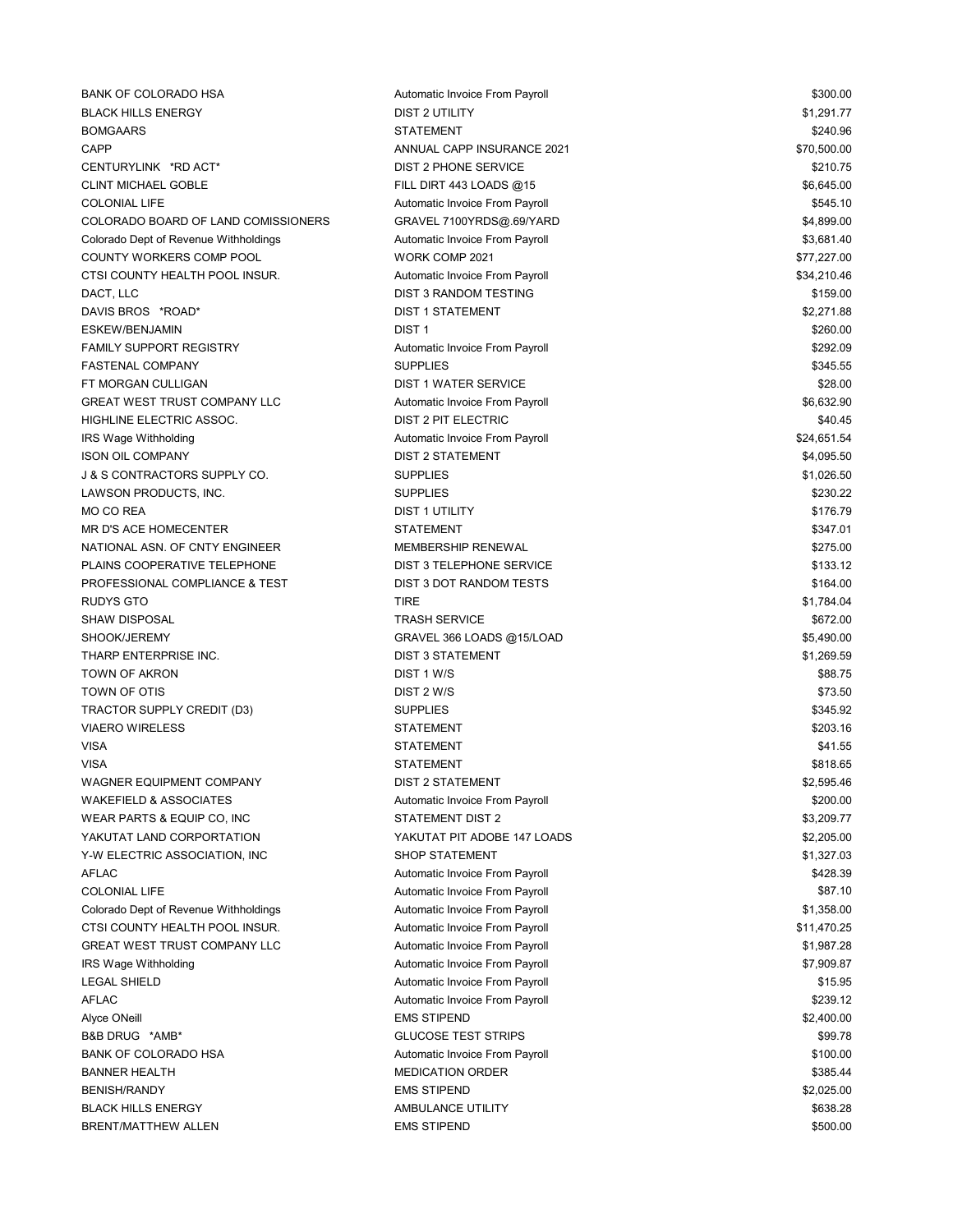| <b>BANK OF COLORADO HSA</b>             | Automatic Invoice From Payroll | \$300.00    |
|-----------------------------------------|--------------------------------|-------------|
| <b>BLACK HILLS ENERGY</b>               | <b>DIST 2 UTILITY</b>          | \$1,291.77  |
| <b>BOMGAARS</b>                         | <b>STATEMENT</b>               | \$240.96    |
| <b>CAPP</b>                             | ANNUAL CAPP INSURANCE 2021     | \$70,500.00 |
| CENTURYLINK *RD ACT*                    | <b>DIST 2 PHONE SERVICE</b>    | \$210.75    |
| <b>CLINT MICHAEL GOBLE</b>              | FILL DIRT 443 LOADS @15        | \$6,645.00  |
| <b>COLONIAL LIFE</b>                    | Automatic Invoice From Payroll | \$545.10    |
| COLORADO BOARD OF LAND COMISSIONERS     | GRAVEL 7100YRDS@.69/YARD       | \$4,899.00  |
| Colorado Dept of Revenue Withholdings   | Automatic Invoice From Payroll | \$3,681.40  |
| COUNTY WORKERS COMP POOL                | WORK COMP 2021                 | \$77,227.00 |
| CTSI COUNTY HEALTH POOL INSUR.          | Automatic Invoice From Payroll | \$34,210.46 |
| DACT, LLC                               | <b>DIST 3 RANDOM TESTING</b>   | \$159.00    |
| DAVIS BROS *ROAD*                       | <b>DIST 1 STATEMENT</b>        | \$2,271.88  |
| ESKEW/BENJAMIN                          | DIST <sub>1</sub>              | \$260.00    |
| <b>FAMILY SUPPORT REGISTRY</b>          | Automatic Invoice From Payroll | \$292.09    |
| <b>FASTENAL COMPANY</b>                 | <b>SUPPLIES</b>                | \$345.55    |
| FT MORGAN CULLIGAN                      | DIST 1 WATER SERVICE           | \$28.00     |
| <b>GREAT WEST TRUST COMPANY LLC</b>     | Automatic Invoice From Payroll | \$6,632.90  |
| HIGHLINE ELECTRIC ASSOC.                | DIST 2 PIT ELECTRIC            | \$40.45     |
| IRS Wage Withholding                    | Automatic Invoice From Payroll | \$24,651.54 |
| <b>ISON OIL COMPANY</b>                 | <b>DIST 2 STATEMENT</b>        | \$4,095.50  |
| <b>J &amp; S CONTRACTORS SUPPLY CO.</b> | <b>SUPPLIES</b>                | \$1,026.50  |
| LAWSON PRODUCTS, INC.                   | <b>SUPPLIES</b>                | \$230.22    |
| <b>MO CO REA</b>                        | <b>DIST 1 UTILITY</b>          | \$176.79    |
| <b>MR D'S ACE HOMECENTER</b>            | <b>STATEMENT</b>               | \$347.01    |
| NATIONAL ASN, OF CNTY ENGINEER          | <b>MEMBERSHIP RENEWAL</b>      | \$275.00    |
| PLAINS COOPERATIVE TELEPHONE            | DIST 3 TELEPHONE SERVICE       | \$133.12    |
| PROFESSIONAL COMPLIANCE & TEST          | DIST 3 DOT RANDOM TESTS        | \$164.00    |
| <b>RUDYS GTO</b>                        | <b>TIRE</b>                    | \$1,784.04  |
| <b>SHAW DISPOSAL</b>                    | <b>TRASH SERVICE</b>           | \$672.00    |
| SHOOK/JEREMY                            | GRAVEL 366 LOADS @15/LOAD      | \$5,490.00  |
| THARP ENTERPRISE INC.                   | <b>DIST 3 STATEMENT</b>        | \$1,269.59  |
| <b>TOWN OF AKRON</b>                    | DIST 1 W/S                     | \$88.75     |
| TOWN OF OTIS                            | DIST 2 W/S                     | \$73.50     |
| TRACTOR SUPPLY CREDIT (D3)              | <b>SUPPLIES</b>                | \$345.92    |
| <b>VIAERO WIRELESS</b>                  | <b>STATEMENT</b>               | \$203.16    |
| <b>VISA</b>                             | <b>STATEMENT</b>               | \$41.55     |
| <b>VISA</b>                             | <b>STATEMENT</b>               | \$818.65    |
| WAGNER EQUIPMENT COMPANY                | <b>DIST 2 STATEMENT</b>        | \$2,595.46  |
| <b>WAKEFIELD &amp; ASSOCIATES</b>       | Automatic Invoice From Payroll | \$200.00    |
| WEAR PARTS & EQUIP CO, INC              | <b>STATEMENT DIST 2</b>        | \$3,209.77  |
| YAKUTAT LAND CORPORTATION               | YAKUTAT PIT ADOBE 147 LOADS    | \$2,205.00  |
| Y-W ELECTRIC ASSOCIATION, INC           | <b>SHOP STATEMENT</b>          | \$1,327.03  |
| <b>AFLAC</b>                            | Automatic Invoice From Payroll | \$428.39    |
| <b>COLONIAL LIFE</b>                    | Automatic Invoice From Payroll | \$87.10     |
| Colorado Dept of Revenue Withholdings   | Automatic Invoice From Payroll | \$1,358.00  |
| CTSI COUNTY HEALTH POOL INSUR.          | Automatic Invoice From Payroll | \$11,470.25 |
| <b>GREAT WEST TRUST COMPANY LLC</b>     | Automatic Invoice From Payroll | \$1,987.28  |
| IRS Wage Withholding                    | Automatic Invoice From Payroll | \$7,909.87  |
| <b>LEGAL SHIELD</b>                     | Automatic Invoice From Payroll | \$15.95     |
| <b>AFLAC</b>                            | Automatic Invoice From Payroll | \$239.12    |
| Alyce ONeill                            | <b>EMS STIPEND</b>             | \$2,400.00  |
| B&B DRUG *AMB*                          | <b>GLUCOSE TEST STRIPS</b>     | \$99.78     |
| <b>BANK OF COLORADO HSA</b>             | Automatic Invoice From Payroll | \$100.00    |
| <b>BANNER HEALTH</b>                    | <b>MEDICATION ORDER</b>        | \$385.44    |
| <b>BENISH/RANDY</b>                     | <b>EMS STIPEND</b>             | \$2,025.00  |
| <b>BLACK HILLS ENERGY</b>               | AMBULANCE UTILITY              | \$638.28    |
| BRENT/MATTHEW ALLEN                     | <b>EMS STIPEND</b>             | \$500.00    |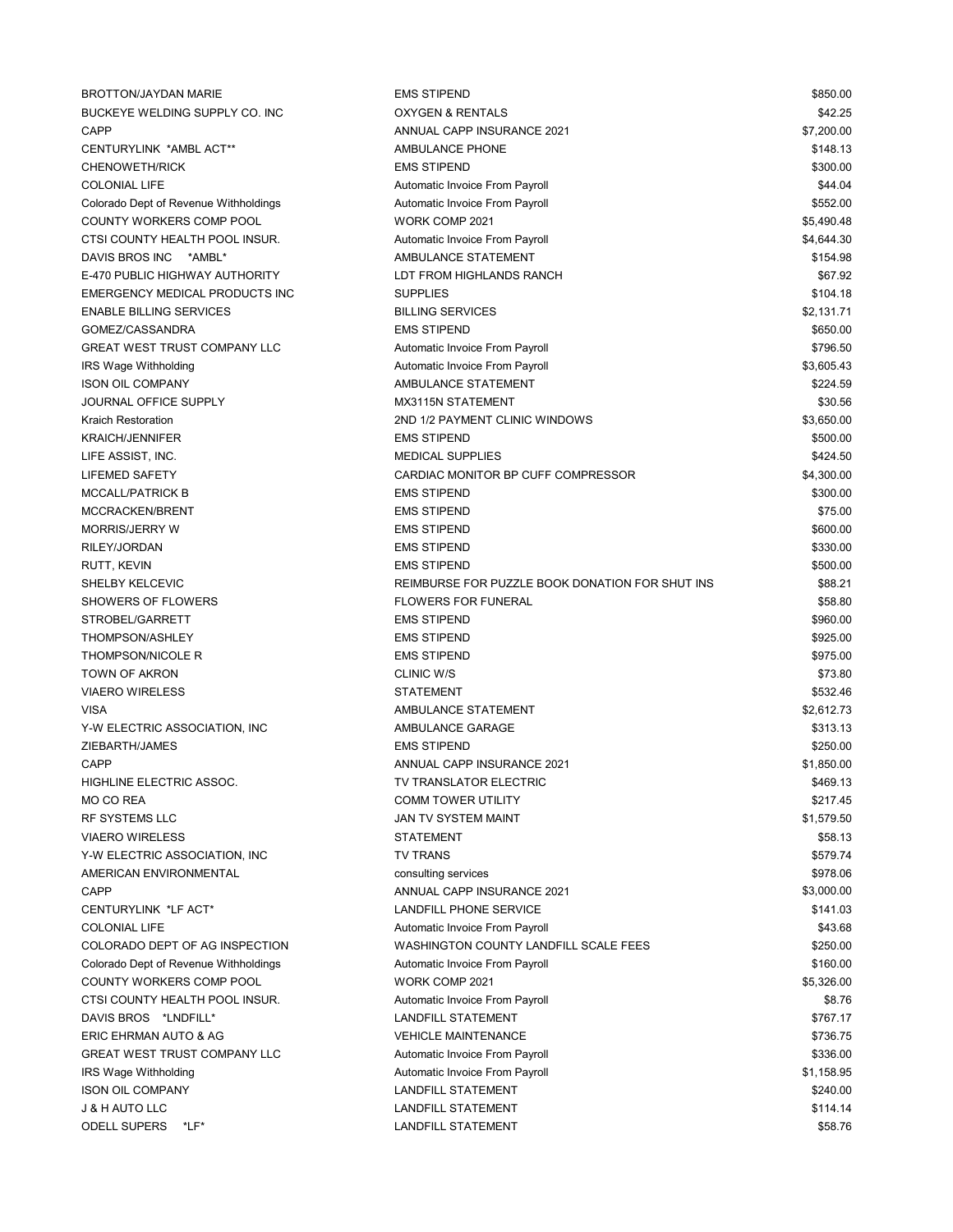| <b>BROTTON/JAYDAN MARIE</b>           | <b>EMS STIPEND</b>                               | \$850.00   |
|---------------------------------------|--------------------------------------------------|------------|
| BUCKEYE WELDING SUPPLY CO. INC        | <b>OXYGEN &amp; RENTALS</b>                      | \$42.25    |
| <b>CAPP</b>                           | ANNUAL CAPP INSURANCE 2021                       | \$7,200.00 |
| CENTURYLINK *AMBL ACT**               | AMBULANCE PHONE                                  | \$148.13   |
| <b>CHENOWETH/RICK</b>                 | <b>EMS STIPEND</b>                               | \$300.00   |
| <b>COLONIAL LIFE</b>                  | Automatic Invoice From Payroll                   | \$44.04    |
| Colorado Dept of Revenue Withholdings | Automatic Invoice From Payroll                   | \$552.00   |
| COUNTY WORKERS COMP POOL              | WORK COMP 2021                                   | \$5,490.48 |
| CTSI COUNTY HEALTH POOL INSUR.        | Automatic Invoice From Payroll                   | \$4,644.30 |
| DAVIS BROS INC<br>*AMBL*              | AMBULANCE STATEMENT                              | \$154.98   |
| E-470 PUBLIC HIGHWAY AUTHORITY        | LDT FROM HIGHLANDS RANCH                         | \$67.92    |
| EMERGENCY MEDICAL PRODUCTS INC        | <b>SUPPLIES</b>                                  | \$104.18   |
| <b>ENABLE BILLING SERVICES</b>        | <b>BILLING SERVICES</b>                          | \$2,131.71 |
| GOMEZ/CASSANDRA                       | <b>EMS STIPEND</b>                               | \$650.00   |
| <b>GREAT WEST TRUST COMPANY LLC</b>   | Automatic Invoice From Payroll                   | \$796.50   |
| IRS Wage Withholding                  | Automatic Invoice From Payroll                   | \$3,605.43 |
| <b>ISON OIL COMPANY</b>               | AMBULANCE STATEMENT                              | \$224.59   |
| JOURNAL OFFICE SUPPLY                 | MX3115N STATEMENT                                | \$30.56    |
| <b>Kraich Restoration</b>             | 2ND 1/2 PAYMENT CLINIC WINDOWS                   | \$3,650.00 |
| <b>KRAICH/JENNIFER</b>                | <b>EMS STIPEND</b>                               | \$500.00   |
| LIFE ASSIST, INC.                     | <b>MEDICAL SUPPLIES</b>                          | \$424.50   |
| <b>LIFEMED SAFETY</b>                 | CARDIAC MONITOR BP CUFF COMPRESSOR               | \$4,300.00 |
| <b>MCCALL/PATRICK B</b>               | <b>EMS STIPEND</b>                               | \$300.00   |
| MCCRACKEN/BRENT                       | <b>EMS STIPEND</b>                               | \$75.00    |
| <b>MORRIS/JERRY W</b>                 | <b>EMS STIPEND</b>                               | \$600.00   |
| RILEY/JORDAN                          | <b>EMS STIPEND</b>                               | \$330.00   |
| RUTT, KEVIN                           | <b>EMS STIPEND</b>                               | \$500.00   |
| SHELBY KELCEVIC                       | REIMBURSE FOR PUZZLE BOOK DONATION FOR SHUT INS  | \$88.21    |
| <b>SHOWERS OF FLOWERS</b>             | <b>FLOWERS FOR FUNERAL</b>                       | \$58.80    |
| STROBEL/GARRETT                       | <b>EMS STIPEND</b>                               | \$960.00   |
| THOMPSON/ASHLEY                       | <b>EMS STIPEND</b>                               | \$925.00   |
| <b>THOMPSON/NICOLE R</b>              | <b>EMS STIPEND</b>                               | \$975.00   |
| TOWN OF AKRON                         | <b>CLINIC W/S</b>                                | \$73.80    |
| <b>VIAERO WIRELESS</b>                | <b>STATEMENT</b>                                 | \$532.46   |
| <b>VISA</b>                           | AMBULANCE STATEMENT                              | \$2,612.73 |
| Y-W ELECTRIC ASSOCIATION, INC         | AMBULANCE GARAGE                                 | \$313.13   |
| ZIEBARTH/JAMES                        | <b>EMS STIPEND</b>                               | \$250.00   |
| <b>CAPP</b>                           | ANNUAL CAPP INSURANCE 2021                       | \$1,850.00 |
|                                       |                                                  | \$469.13   |
| HIGHLINE ELECTRIC ASSOC.              | TV TRANSLATOR ELECTRIC                           | \$217.45   |
| MO CO REA<br><b>RF SYSTEMS LLC</b>    | <b>COMM TOWER UTILITY</b><br>JAN TV SYSTEM MAINT |            |
|                                       |                                                  | \$1,579.50 |
| <b>VIAERO WIRELESS</b>                | <b>STATEMENT</b>                                 | \$58.13    |
| Y-W ELECTRIC ASSOCIATION, INC         | <b>TV TRANS</b>                                  | \$579.74   |
| AMERICAN ENVIRONMENTAL                | consulting services                              | \$978.06   |
| CAPP                                  | ANNUAL CAPP INSURANCE 2021                       | \$3,000.00 |
| CENTURYLINK *LF ACT*                  | LANDFILL PHONE SERVICE                           | \$141.03   |
| <b>COLONIAL LIFE</b>                  | Automatic Invoice From Payroll                   | \$43.68    |
| COLORADO DEPT OF AG INSPECTION        | WASHINGTON COUNTY LANDFILL SCALE FEES            | \$250.00   |
| Colorado Dept of Revenue Withholdings | Automatic Invoice From Payroll                   | \$160.00   |
| COUNTY WORKERS COMP POOL              | WORK COMP 2021                                   | \$5,326.00 |
| CTSI COUNTY HEALTH POOL INSUR.        | Automatic Invoice From Payroll                   | \$8.76     |
| DAVIS BROS *LNDFILL*                  | LANDFILL STATEMENT                               | \$767.17   |
| ERIC EHRMAN AUTO & AG                 | <b>VEHICLE MAINTENANCE</b>                       | \$736.75   |
| <b>GREAT WEST TRUST COMPANY LLC</b>   | Automatic Invoice From Payroll                   | \$336.00   |
| IRS Wage Withholding                  | Automatic Invoice From Payroll                   | \$1,158.95 |
| <b>ISON OIL COMPANY</b>               | <b>LANDFILL STATEMENT</b>                        | \$240.00   |
| J & H AUTO LLC                        | <b>LANDFILL STATEMENT</b>                        | \$114.14   |
| <b>ODELL SUPERS</b><br>*LF*           | <b>LANDFILL STATEMENT</b>                        | \$58.76    |